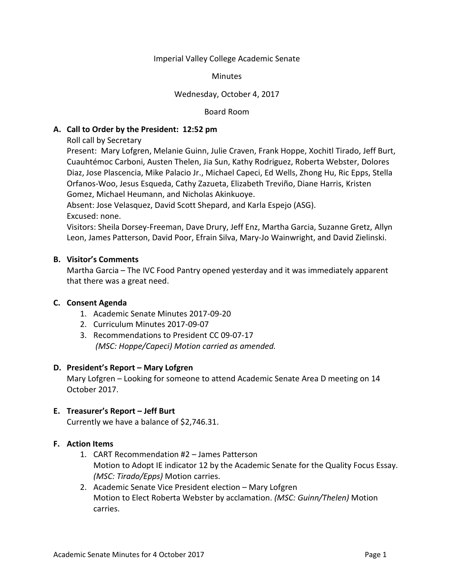#### Imperial Valley College Academic Senate

#### **Minutes**

## Wednesday, October 4, 2017

#### Board Room

## **A. Call to Order by the President: 12:52 pm**

Roll call by Secretary

Present: Mary Lofgren, Melanie Guinn, Julie Craven, Frank Hoppe, Xochitl Tirado, Jeff Burt, Cuauhtémoc Carboni, Austen Thelen, Jia Sun, Kathy Rodriguez, Roberta Webster, Dolores Diaz, Jose Plascencia, Mike Palacio Jr., Michael Capeci, Ed Wells, Zhong Hu, Ric Epps, Stella Orfanos-Woo, Jesus Esqueda, Cathy Zazueta, Elizabeth Treviño, Diane Harris, Kristen Gomez, Michael Heumann, and Nicholas Akinkuoye.

Absent: Jose Velasquez, David Scott Shepard, and Karla Espejo (ASG). Excused: none.

Visitors: Sheila Dorsey-Freeman, Dave Drury, Jeff Enz, Martha Garcia, Suzanne Gretz, Allyn Leon, James Patterson, David Poor, Efrain Silva, Mary-Jo Wainwright, and David Zielinski.

## **B. Visitor's Comments**

Martha Garcia – The IVC Food Pantry opened yesterday and it was immediately apparent that there was a great need.

## **C. Consent Agenda**

- 1. Academic Senate Minutes 2017-09-20
- 2. Curriculum Minutes 2017-09-07
- 3. Recommendations to President CC 09-07-17 *(MSC: Hoppe/Capeci) Motion carried as amended.*

## **D. President's Report – Mary Lofgren**

Mary Lofgren – Looking for someone to attend Academic Senate Area D meeting on 14 October 2017.

## **E. Treasurer's Report – Jeff Burt**

Currently we have a balance of \$2,746.31.

# **F. Action Items**

- 1. CART Recommendation #2 James Patterson Motion to Adopt IE indicator 12 by the Academic Senate for the Quality Focus Essay. *(MSC: Tirado/Epps)* Motion carries.
- 2. Academic Senate Vice President election Mary Lofgren Motion to Elect Roberta Webster by acclamation. *(MSC: Guinn/Thelen)* Motion carries.